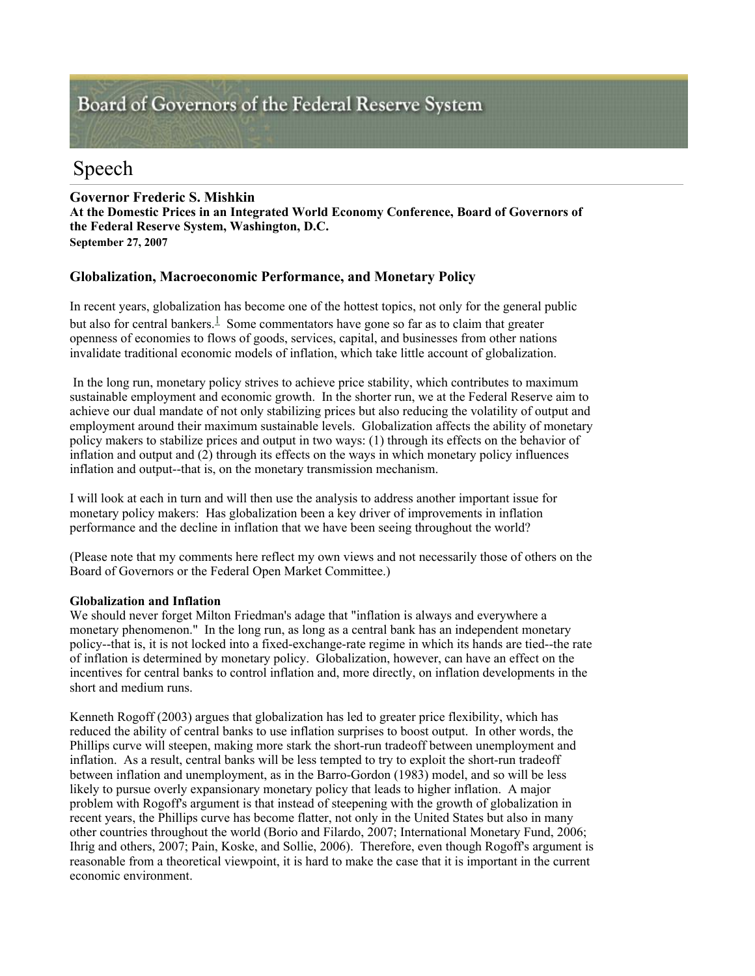# Board of Governors of the Federal Reserve System

# Speech

**Governor Frederic S. Mishkin At the Domestic Prices in an Integrated World Economy Conference, Board of Governors of the Federal Reserve System, Washington, D.C. September 27, 2007** 

# **Globalization, Macroeconomic Performance, and Monetary Policy**

In recent years, globalization has become one of the hottest topics, not only for the general public but also for central bankers. $\frac{1}{2}$  Some commentators have gone so far as to claim that greater openness of economies to flows of goods, services, capital, and businesses from other nations invalidate traditional economic models of inflation, which take little account of globalization.

In the long run, monetary policy strives to achieve price stability, which contributes to maximum sustainable employment and economic growth. In the shorter run, we at the Federal Reserve aim to achieve our dual mandate of not only stabilizing prices but also reducing the volatility of output and employment around their maximum sustainable levels. Globalization affects the ability of monetary policy makers to stabilize prices and output in two ways: (1) through its effects on the behavior of inflation and output and (2) through its effects on the ways in which monetary policy influences inflation and output--that is, on the monetary transmission mechanism.

I will look at each in turn and will then use the analysis to address another important issue for monetary policy makers: Has globalization been a key driver of improvements in inflation performance and the decline in inflation that we have been seeing throughout the world?

(Please note that my comments here reflect my own views and not necessarily those of others on the Board of Governors or the Federal Open Market Committee.)

### **Globalization and Inflation**

We should never forget Milton Friedman's adage that "inflation is always and everywhere a monetary phenomenon." In the long run, as long as a central bank has an independent monetary policy--that is, it is not locked into a fixed-exchange-rate regime in which its hands are tied--the rate of inflation is determined by monetary policy. Globalization, however, can have an effect on the incentives for central banks to control inflation and, more directly, on inflation developments in the short and medium runs.

Kenneth Rogoff (2003) argues that globalization has led to greater price flexibility, which has reduced the ability of central banks to use inflation surprises to boost output. In other words, the Phillips curve will steepen, making more stark the short-run tradeoff between unemployment and inflation. As a result, central banks will be less tempted to try to exploit the short-run tradeoff between inflation and unemployment, as in the Barro-Gordon (1983) model, and so will be less likely to pursue overly expansionary monetary policy that leads to higher inflation. A major problem with Rogoff's argument is that instead of steepening with the growth of globalization in recent years, the Phillips curve has become flatter, not only in the United States but also in many other countries throughout the world (Borio and Filardo, 2007; International Monetary Fund, 2006; Ihrig and others, 2007; Pain, Koske, and Sollie, 2006). Therefore, even though Rogoff's argument is reasonable from a theoretical viewpoint, it is hard to make the case that it is important in the current economic environment.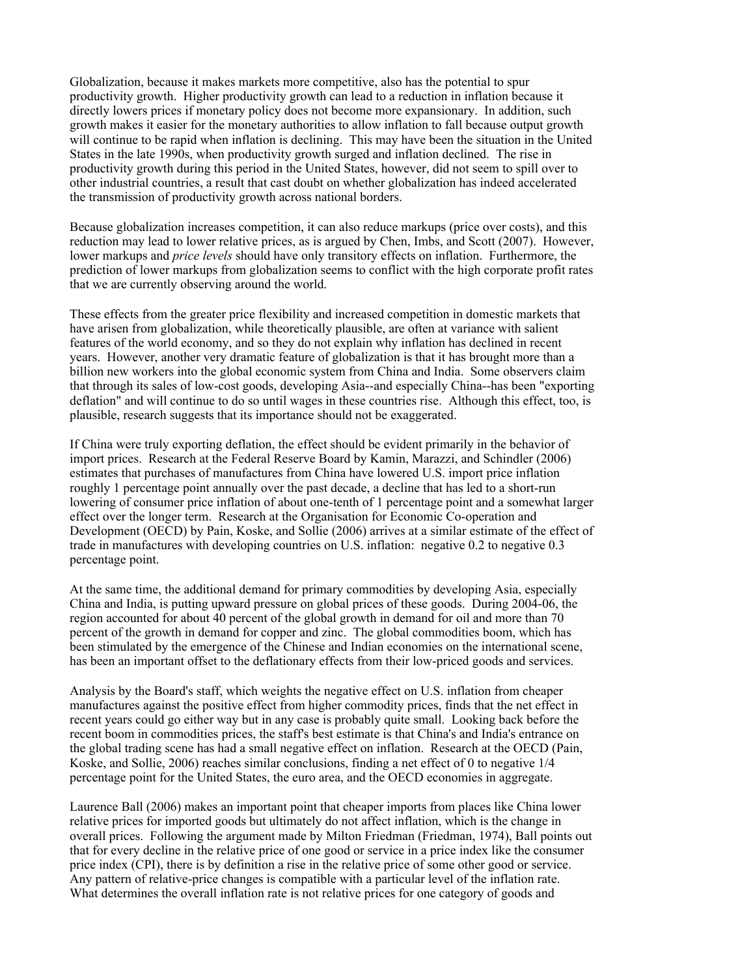Globalization, because it makes markets more competitive, also has the potential to spur productivity growth. Higher productivity growth can lead to a reduction in inflation because it directly lowers prices if monetary policy does not become more expansionary. In addition, such growth makes it easier for the monetary authorities to allow inflation to fall because output growth will continue to be rapid when inflation is declining. This may have been the situation in the United States in the late 1990s, when productivity growth surged and inflation declined. The rise in productivity growth during this period in the United States, however, did not seem to spill over to other industrial countries, a result that cast doubt on whether globalization has indeed accelerated the transmission of productivity growth across national borders.

Because globalization increases competition, it can also reduce markups (price over costs), and this reduction may lead to lower relative prices, as is argued by Chen, Imbs, and Scott (2007). However, lower markups and *price levels* should have only transitory effects on inflation. Furthermore, the prediction of lower markups from globalization seems to conflict with the high corporate profit rates that we are currently observing around the world.

These effects from the greater price flexibility and increased competition in domestic markets that have arisen from globalization, while theoretically plausible, are often at variance with salient features of the world economy, and so they do not explain why inflation has declined in recent years. However, another very dramatic feature of globalization is that it has brought more than a billion new workers into the global economic system from China and India. Some observers claim that through its sales of low-cost goods, developing Asia--and especially China--has been "exporting deflation" and will continue to do so until wages in these countries rise. Although this effect, too, is plausible, research suggests that its importance should not be exaggerated.

If China were truly exporting deflation, the effect should be evident primarily in the behavior of import prices. Research at the Federal Reserve Board by Kamin, Marazzi, and Schindler (2006) estimates that purchases of manufactures from China have lowered U.S. import price inflation roughly 1 percentage point annually over the past decade, a decline that has led to a short-run lowering of consumer price inflation of about one-tenth of 1 percentage point and a somewhat larger effect over the longer term. Research at the Organisation for Economic Co-operation and Development (OECD) by Pain, Koske, and Sollie (2006) arrives at a similar estimate of the effect of trade in manufactures with developing countries on U.S. inflation: negative 0.2 to negative 0.3 percentage point.

At the same time, the additional demand for primary commodities by developing Asia, especially China and India, is putting upward pressure on global prices of these goods. During 2004-06, the region accounted for about 40 percent of the global growth in demand for oil and more than 70 percent of the growth in demand for copper and zinc. The global commodities boom, which has been stimulated by the emergence of the Chinese and Indian economies on the international scene, has been an important offset to the deflationary effects from their low-priced goods and services.

Analysis by the Board's staff, which weights the negative effect on U.S. inflation from cheaper manufactures against the positive effect from higher commodity prices, finds that the net effect in recent years could go either way but in any case is probably quite small. Looking back before the recent boom in commodities prices, the staff's best estimate is that China's and India's entrance on the global trading scene has had a small negative effect on inflation. Research at the OECD (Pain, Koske, and Sollie, 2006) reaches similar conclusions, finding a net effect of 0 to negative 1/4 percentage point for the United States, the euro area, and the OECD economies in aggregate.

Laurence Ball (2006) makes an important point that cheaper imports from places like China lower relative prices for imported goods but ultimately do not affect inflation, which is the change in overall prices. Following the argument made by Milton Friedman (Friedman, 1974), Ball points out that for every decline in the relative price of one good or service in a price index like the consumer price index (CPI), there is by definition a rise in the relative price of some other good or service. Any pattern of relative-price changes is compatible with a particular level of the inflation rate. What determines the overall inflation rate is not relative prices for one category of goods and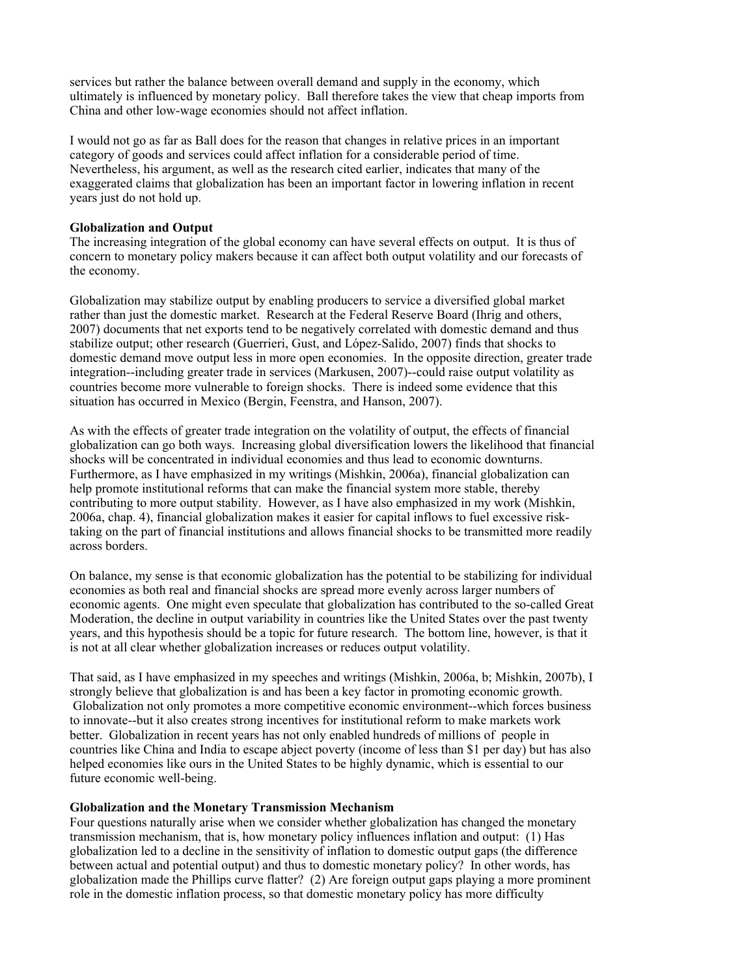services but rather the balance between overall demand and supply in the economy, which ultimately is influenced by monetary policy. Ball therefore takes the view that cheap imports from China and other low-wage economies should not affect inflation.

I would not go as far as Ball does for the reason that changes in relative prices in an important category of goods and services could affect inflation for a considerable period of time. Nevertheless, his argument, as well as the research cited earlier, indicates that many of the exaggerated claims that globalization has been an important factor in lowering inflation in recent years just do not hold up.

#### **Globalization and Output**

The increasing integration of the global economy can have several effects on output. It is thus of concern to monetary policy makers because it can affect both output volatility and our forecasts of the economy.

Globalization may stabilize output by enabling producers to service a diversified global market rather than just the domestic market. Research at the Federal Reserve Board (Ihrig and others, 2007) documents that net exports tend to be negatively correlated with domestic demand and thus stabilize output; other research (Guerrieri, Gust, and López-Salido, 2007) finds that shocks to domestic demand move output less in more open economies. In the opposite direction, greater trade integration--including greater trade in services (Markusen, 2007)--could raise output volatility as countries become more vulnerable to foreign shocks. There is indeed some evidence that this situation has occurred in Mexico (Bergin, Feenstra, and Hanson, 2007).

As with the effects of greater trade integration on the volatility of output, the effects of financial globalization can go both ways. Increasing global diversification lowers the likelihood that financial shocks will be concentrated in individual economies and thus lead to economic downturns. Furthermore, as I have emphasized in my writings (Mishkin, 2006a), financial globalization can help promote institutional reforms that can make the financial system more stable, thereby contributing to more output stability. However, as I have also emphasized in my work (Mishkin, 2006a, chap. 4), financial globalization makes it easier for capital inflows to fuel excessive risktaking on the part of financial institutions and allows financial shocks to be transmitted more readily across borders.

On balance, my sense is that economic globalization has the potential to be stabilizing for individual economies as both real and financial shocks are spread more evenly across larger numbers of economic agents. One might even speculate that globalization has contributed to the so-called Great Moderation, the decline in output variability in countries like the United States over the past twenty years, and this hypothesis should be a topic for future research. The bottom line, however, is that it is not at all clear whether globalization increases or reduces output volatility.

That said, as I have emphasized in my speeches and writings (Mishkin, 2006a, b; Mishkin, 2007b), I strongly believe that globalization is and has been a key factor in promoting economic growth. Globalization not only promotes a more competitive economic environment--which forces business to innovate--but it also creates strong incentives for institutional reform to make markets work better. Globalization in recent years has not only enabled hundreds of millions of people in countries like China and India to escape abject poverty (income of less than \$1 per day) but has also helped economies like ours in the United States to be highly dynamic, which is essential to our future economic well-being.

#### **Globalization and the Monetary Transmission Mechanism**

Four questions naturally arise when we consider whether globalization has changed the monetary transmission mechanism, that is, how monetary policy influences inflation and output: (1) Has globalization led to a decline in the sensitivity of inflation to domestic output gaps (the difference between actual and potential output) and thus to domestic monetary policy? In other words, has globalization made the Phillips curve flatter? (2) Are foreign output gaps playing a more prominent role in the domestic inflation process, so that domestic monetary policy has more difficulty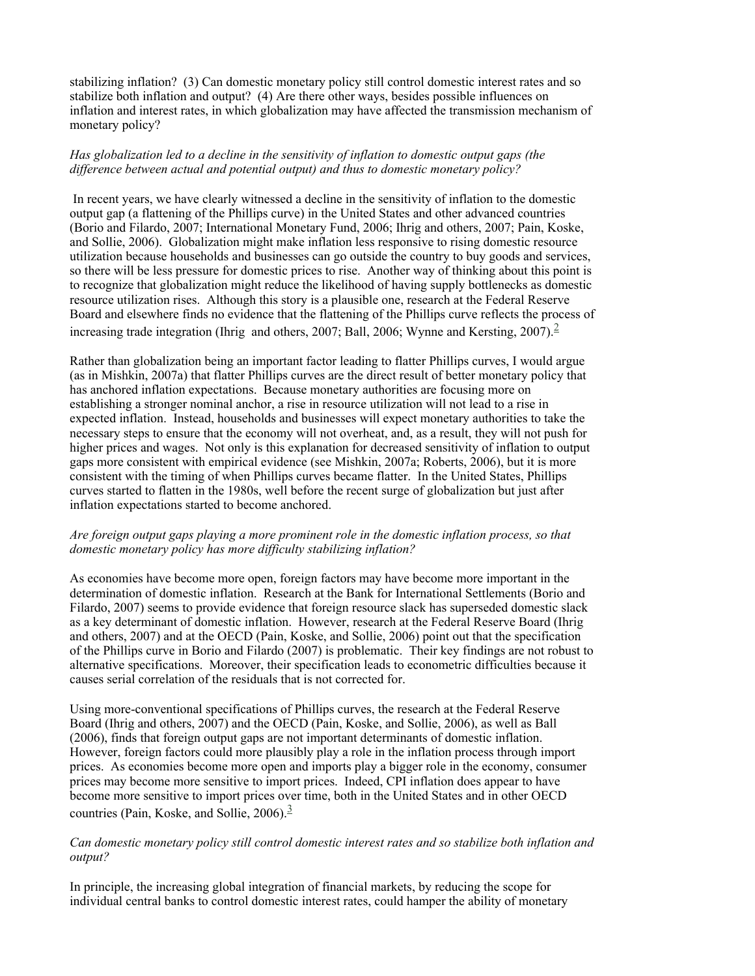stabilizing inflation? (3) Can domestic monetary policy still control domestic interest rates and so stabilize both inflation and output? (4) Are there other ways, besides possible influences on inflation and interest rates, in which globalization may have affected the transmission mechanism of monetary policy?

### *Has globalization led to a decline in the sensitivity of inflation to domestic output gaps (the difference between actual and potential output) and thus to domestic monetary policy?*

In recent years, we have clearly witnessed a decline in the sensitivity of inflation to the domestic output gap (a flattening of the Phillips curve) in the United States and other advanced countries (Borio and Filardo, 2007; International Monetary Fund, 2006; Ihrig and others, 2007; Pain, Koske, and Sollie, 2006). Globalization might make inflation less responsive to rising domestic resource utilization because households and businesses can go outside the country to buy goods and services, so there will be less pressure for domestic prices to rise. Another way of thinking about this point is to recognize that globalization might reduce the likelihood of having supply bottlenecks as domestic resource utilization rises. Although this story is a plausible one, research at the Federal Reserve Board and elsewhere finds no evidence that the flattening of the Phillips curve reflects the process of increasing trade integration (Ihrig and others, 2007; Ball, 2006; Wynne and Kersting, 2007).<sup>2</sup>

Rather than globalization being an important factor leading to flatter Phillips curves, I would argue (as in Mishkin, 2007a) that flatter Phillips curves are the direct result of better monetary policy that has anchored inflation expectations. Because monetary authorities are focusing more on establishing a stronger nominal anchor, a rise in resource utilization will not lead to a rise in expected inflation. Instead, households and businesses will expect monetary authorities to take the necessary steps to ensure that the economy will not overheat, and, as a result, they will not push for higher prices and wages. Not only is this explanation for decreased sensitivity of inflation to output gaps more consistent with empirical evidence (see Mishkin, 2007a; Roberts, 2006), but it is more consistent with the timing of when Phillips curves became flatter. In the United States, Phillips curves started to flatten in the 1980s, well before the recent surge of globalization but just after inflation expectations started to become anchored.

### *Are foreign output gaps playing a more prominent role in the domestic inflation process, so that domestic monetary policy has more difficulty stabilizing inflation?*

As economies have become more open, foreign factors may have become more important in the determination of domestic inflation. Research at the Bank for International Settlements (Borio and Filardo, 2007) seems to provide evidence that foreign resource slack has superseded domestic slack as a key determinant of domestic inflation. However, research at the Federal Reserve Board (Ihrig and others, 2007) and at the OECD (Pain, Koske, and Sollie, 2006) point out that the specification of the Phillips curve in Borio and Filardo (2007) is problematic. Their key findings are not robust to alternative specifications. Moreover, their specification leads to econometric difficulties because it causes serial correlation of the residuals that is not corrected for.

Using more-conventional specifications of Phillips curves, the research at the Federal Reserve Board (Ihrig and others, 2007) and the OECD (Pain, Koske, and Sollie, 2006), as well as Ball (2006), finds that foreign output gaps are not important determinants of domestic inflation. However, foreign factors could more plausibly play a role in the inflation process through import prices. As economies become more open and imports play a bigger role in the economy, consumer prices may become more sensitive to import prices. Indeed, CPI inflation does appear to have become more sensitive to import prices over time, both in the United States and in other OECD countries (Pain, Koske, and Sollie,  $2006$ ).<sup>3</sup>

### *Can domestic monetary policy still control domestic interest rates and so stabilize both inflation and output?*

In principle, the increasing global integration of financial markets, by reducing the scope for individual central banks to control domestic interest rates, could hamper the ability of monetary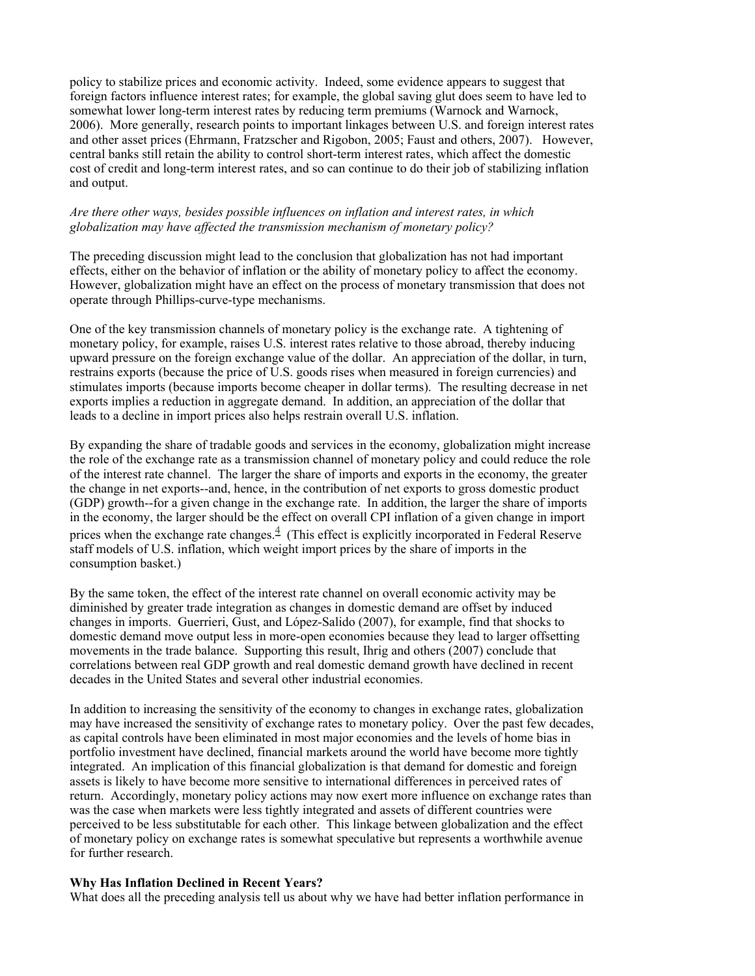policy to stabilize prices and economic activity. Indeed, some evidence appears to suggest that foreign factors influence interest rates; for example, the global saving glut does seem to have led to somewhat lower long-term interest rates by reducing term premiums (Warnock and Warnock, 2006). More generally, research points to important linkages between U.S. and foreign interest rates and other asset prices (Ehrmann, Fratzscher and Rigobon, 2005; Faust and others, 2007). However, central banks still retain the ability to control short-term interest rates, which affect the domestic cost of credit and long-term interest rates, and so can continue to do their job of stabilizing inflation and output.

### *Are there other ways, besides possible influences on inflation and interest rates, in which globalization may have affected the transmission mechanism of monetary policy?*

The preceding discussion might lead to the conclusion that globalization has not had important effects, either on the behavior of inflation or the ability of monetary policy to affect the economy. However, globalization might have an effect on the process of monetary transmission that does not operate through Phillips-curve-type mechanisms.

One of the key transmission channels of monetary policy is the exchange rate. A tightening of monetary policy, for example, raises U.S. interest rates relative to those abroad, thereby inducing upward pressure on the foreign exchange value of the dollar. An appreciation of the dollar, in turn, restrains exports (because the price of U.S. goods rises when measured in foreign currencies) and stimulates imports (because imports become cheaper in dollar terms). The resulting decrease in net exports implies a reduction in aggregate demand. In addition, an appreciation of the dollar that leads to a decline in import prices also helps restrain overall U.S. inflation.

By expanding the share of tradable goods and services in the economy, globalization might increase the role of the exchange rate as a transmission channel of monetary policy and could reduce the role of the interest rate channel. The larger the share of imports and exports in the economy, the greater the change in net exports--and, hence, in the contribution of net exports to gross domestic product (GDP) growth--for a given change in the exchange rate. In addition, the larger the share of imports in the economy, the larger should be the effect on overall CPI inflation of a given change in import prices when the exchange rate changes. $\frac{4}{3}$  (This effect is explicitly incorporated in Federal Reserve staff models of U.S. inflation, which weight import prices by the share of imports in the consumption basket.)

By the same token, the effect of the interest rate channel on overall economic activity may be diminished by greater trade integration as changes in domestic demand are offset by induced changes in imports. Guerrieri, Gust, and López-Salido (2007), for example, find that shocks to domestic demand move output less in more-open economies because they lead to larger offsetting movements in the trade balance. Supporting this result, Ihrig and others (2007) conclude that correlations between real GDP growth and real domestic demand growth have declined in recent decades in the United States and several other industrial economies.

In addition to increasing the sensitivity of the economy to changes in exchange rates, globalization may have increased the sensitivity of exchange rates to monetary policy. Over the past few decades, as capital controls have been eliminated in most major economies and the levels of home bias in portfolio investment have declined, financial markets around the world have become more tightly integrated. An implication of this financial globalization is that demand for domestic and foreign assets is likely to have become more sensitive to international differences in perceived rates of return. Accordingly, monetary policy actions may now exert more influence on exchange rates than was the case when markets were less tightly integrated and assets of different countries were perceived to be less substitutable for each other. This linkage between globalization and the effect of monetary policy on exchange rates is somewhat speculative but represents a worthwhile avenue for further research.

#### **Why Has Inflation Declined in Recent Years?**

What does all the preceding analysis tell us about why we have had better inflation performance in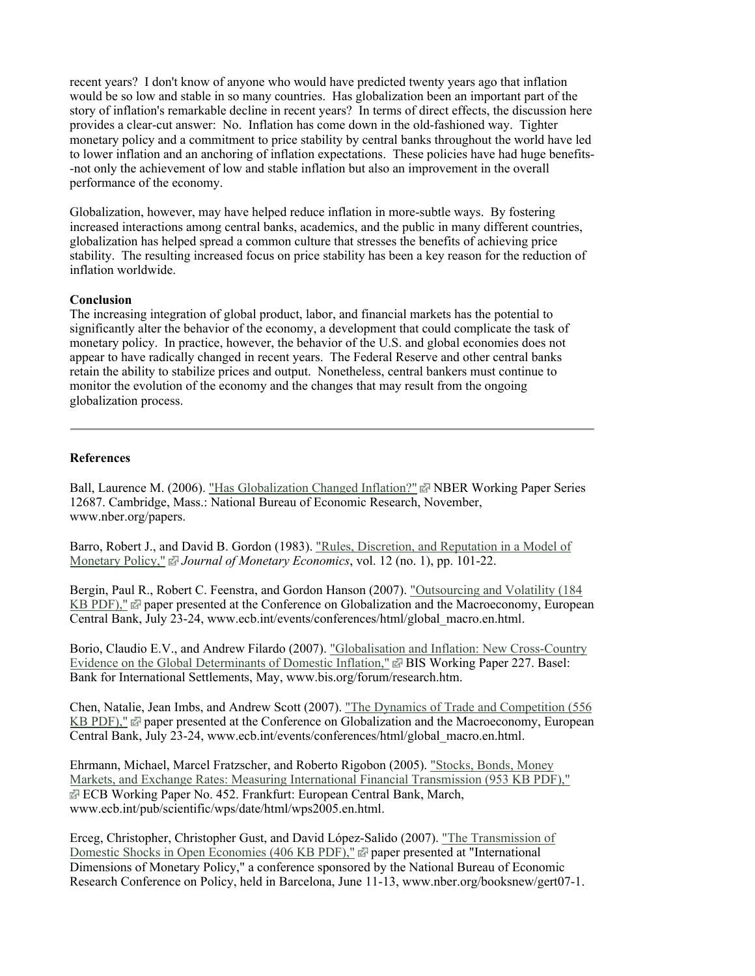recent years? I don't know of anyone who would have predicted twenty years ago that inflation would be so low and stable in so many countries. Has globalization been an important part of the story of inflation's remarkable decline in recent years? In terms of direct effects, the discussion here provides a clear-cut answer: No. Inflation has come down in the old-fashioned way. Tighter monetary policy and a commitment to price stability by central banks throughout the world have led to lower inflation and an anchoring of inflation expectations. These policies have had huge benefits- -not only the achievement of low and stable inflation but also an improvement in the overall performance of the economy.

Globalization, however, may have helped reduce inflation in more-subtle ways. By fostering increased interactions among central banks, academics, and the public in many different countries, globalization has helped spread a common culture that stresses the benefits of achieving price stability. The resulting increased focus on price stability has been a key reason for the reduction of inflation worldwide.

#### **Conclusion**

The increasing integration of global product, labor, and financial markets has the potential to significantly alter the behavior of the economy, a development that could complicate the task of monetary policy. In practice, however, the behavior of the U.S. and global economies does not appear to have radically changed in recent years. The Federal Reserve and other central banks retain the ability to stabilize prices and output. Nonetheless, central bankers must continue to monitor the evolution of the economy and the changes that may result from the ongoing globalization process.

### **References**

Ball, Laurence M. (2006). "Has Globalization Changed Inflation?"  $\vec{w}$  NBER Working Paper Series 12687. Cambridge, Mass.: National Bureau of Economic Research, November, www.nber.org/papers.

Barro, Robert J., and David B. Gordon (1983). "Rules, Discretion, and Reputation in a Model of Monetary Policy," *Journal of Monetary Economics*, vol. 12 (no. 1), pp. 101-22.

Bergin, Paul R., Robert C. Feenstra, and Gordon Hanson (2007). "Outsourcing and Volatility (184 KB PDF),"  $\vec{p}$  paper presented at the Conference on Globalization and the Macroeconomy, European Central Bank, July 23-24, www.ecb.int/events/conferences/html/global\_macro.en.html.

Borio, Claudio E.V., and Andrew Filardo (2007). "Globalisation and Inflation: New Cross-Country Evidence on the Global Determinants of Domestic Inflation,"  $\vec{E}$  BIS Working Paper 227. Basel: Bank for International Settlements, May, www.bis.org/forum/research.htm.

Chen, Natalie, Jean Imbs, and Andrew Scott (2007). "The Dynamics of Trade and Competition (556 KB PDF),"  $\vec{p}$  paper presented at the Conference on Globalization and the Macroeconomy, European Central Bank, July 23-24, www.ecb.int/events/conferences/html/global\_macro.en.html.

Ehrmann, Michael, Marcel Fratzscher, and Roberto Rigobon (2005). "Stocks, Bonds, Money Markets, and Exchange Rates: Measuring International Financial Transmission (953 KB PDF)," ECB Working Paper No. 452. Frankfurt: European Central Bank, March, www.ecb.int/pub/scientific/wps/date/html/wps2005.en.html.

Erceg, Christopher, Christopher Gust, and David López-Salido (2007). "The Transmission of Domestic Shocks in Open Economies (406 KB PDF)," @ paper presented at "International Dimensions of Monetary Policy," a conference sponsored by the National Bureau of Economic Research Conference on Policy, held in Barcelona, June 11-13, www.nber.org/booksnew/gert07-1.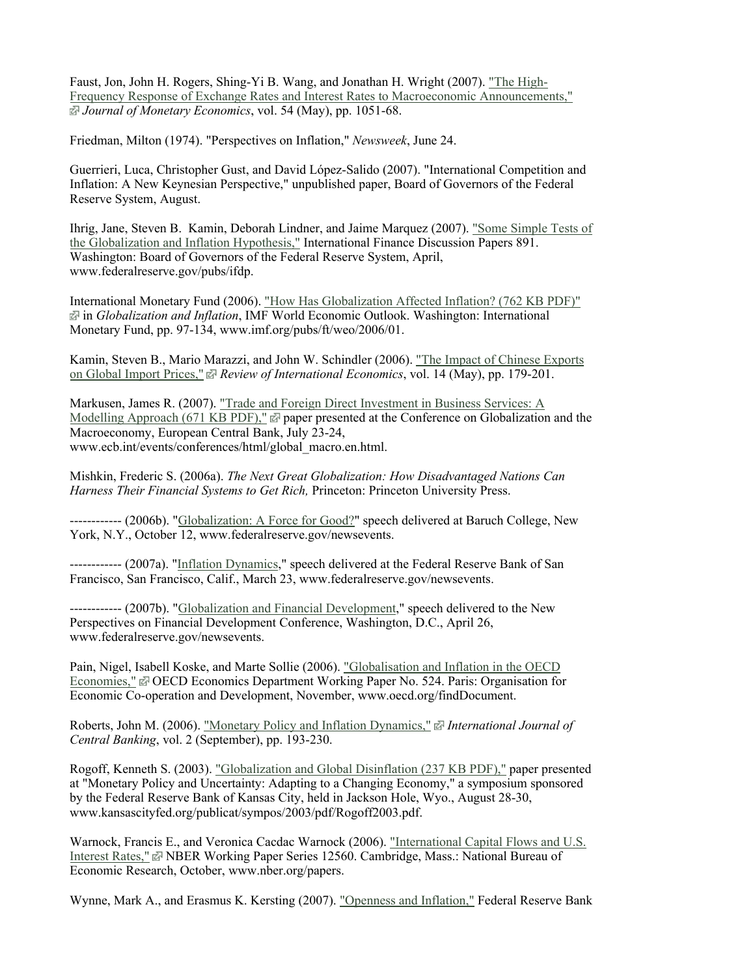Faust, Jon, John H. Rogers, Shing-Yi B. Wang, and Jonathan H. Wright (2007). "The High-Frequency Response of Exchange Rates and Interest Rates to Macroeconomic Announcements,"  *Journal of Monetary Economics*, vol. 54 (May), pp. 1051-68.

Friedman, Milton (1974). "Perspectives on Inflation," *Newsweek*, June 24.

Guerrieri, Luca, Christopher Gust, and David López-Salido (2007). "International Competition and Inflation: A New Keynesian Perspective," unpublished paper, Board of Governors of the Federal Reserve System, August.

Ihrig, Jane, Steven B. Kamin, Deborah Lindner, and Jaime Marquez (2007). "Some Simple Tests of the Globalization and Inflation Hypothesis," International Finance Discussion Papers 891. Washington: Board of Governors of the Federal Reserve System, April, www.federalreserve.gov/pubs/ifdp.

International Monetary Fund (2006). "How Has Globalization Affected Inflation? (762 KB PDF)" in *Globalization and Inflation*, IMF World Economic Outlook. Washington: International Monetary Fund, pp. 97-134, www.imf.org/pubs/ft/weo/2006/01.

Kamin, Steven B., Mario Marazzi, and John W. Schindler (2006). "The Impact of Chinese Exports on Global Import Prices," *Review of International Economics*, vol. 14 (May), pp. 179-201.

Markusen, James R. (2007). "Trade and Foreign Direct Investment in Business Services: A Modelling Approach (671 KB PDF),"  $\mathbb{F}$  paper presented at the Conference on Globalization and the Macroeconomy, European Central Bank, July 23-24, www.ecb.int/events/conferences/html/global\_macro.en.html.

Mishkin, Frederic S. (2006a). *The Next Great Globalization: How Disadvantaged Nations Can Harness Their Financial Systems to Get Rich,* Princeton: Princeton University Press.

-------- (2006b). "*Globalization: A Force for Good?*" speech delivered at Baruch College, New York, N.Y., October 12, www.federalreserve.gov/newsevents.

------------ (2007a). "Inflation Dynamics," speech delivered at the Federal Reserve Bank of San Francisco, San Francisco, Calif., March 23, www.federalreserve.gov/newsevents.

------------ (2007b). "Globalization and Financial Development," speech delivered to the New Perspectives on Financial Development Conference, Washington, D.C., April 26, www.federalreserve.gov/newsevents.

Pain, Nigel, Isabell Koske, and Marte Sollie (2006). "Globalisation and Inflation in the OECD Economies,"  $\mathbb{Z}^7$  OECD Economics Department Working Paper No. 524. Paris: Organisation for Economic Co-operation and Development, November, www.oecd.org/findDocument.

Roberts, John M. (2006). "Monetary Policy and Inflation Dynamics," *P International Journal of Central Banking*, vol. 2 (September), pp. 193-230.

Rogoff, Kenneth S. (2003). "Globalization and Global Disinflation (237 KB PDF)," paper presented at "Monetary Policy and Uncertainty: Adapting to a Changing Economy," a symposium sponsored by the Federal Reserve Bank of Kansas City, held in Jackson Hole, Wyo., August 28-30, www.kansascityfed.org/publicat/sympos/2003/pdf/Rogoff2003.pdf.

Warnock, Francis E., and Veronica Cacdac Warnock (2006). "International Capital Flows and U.S. Interest Rates,"  $\vec{w}$  NBER Working Paper Series 12560. Cambridge, Mass.: National Bureau of Economic Research, October, www.nber.org/papers.

Wynne, Mark A., and Erasmus K. Kersting (2007). "Openness and Inflation," Federal Reserve Bank